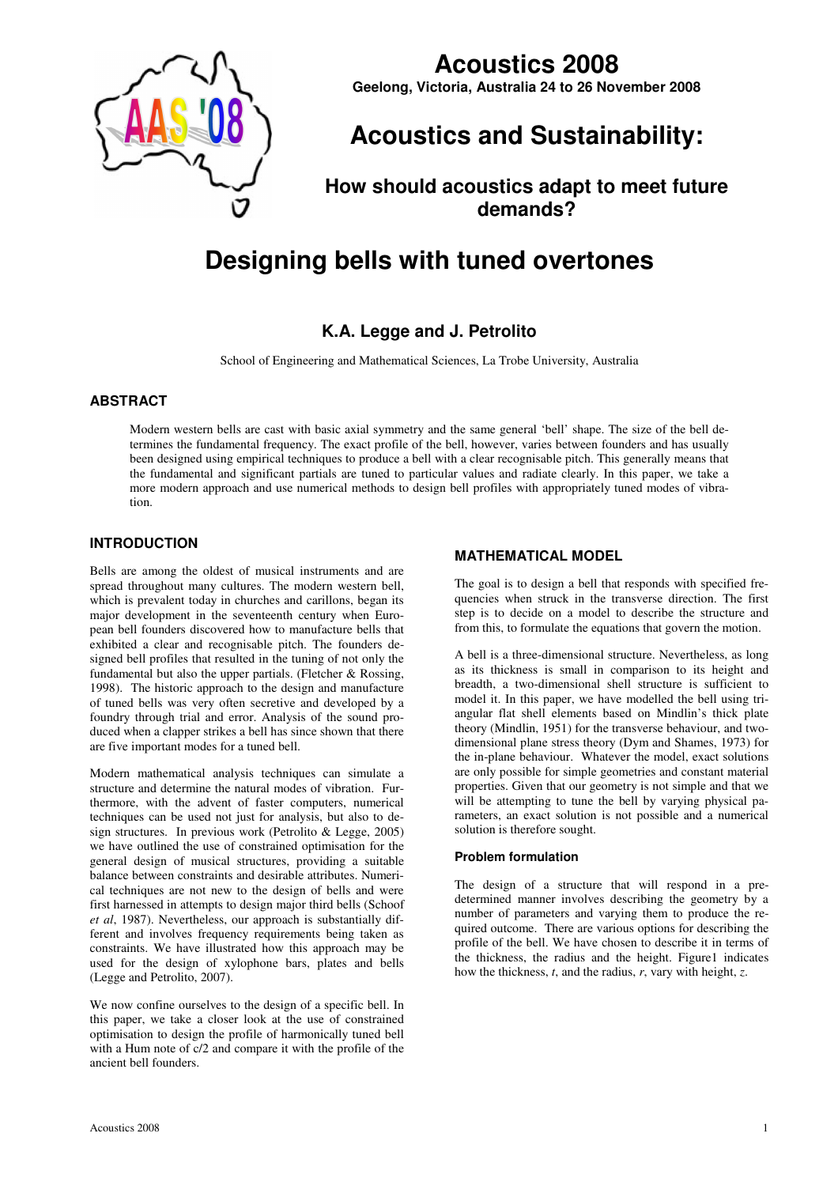

# **Acoustics 2008**

**Geelong, Victoria, Australia 24 to 26 November 2008**

# **Acoustics and Sustainability:**

# **How should acoustics adapt to meet future demands?**

# **Designing bells with tuned overtones**

# **K.A. Legge and J. Petrolito**

School of Engineering and Mathematical Sciences, La Trobe University, Australia

## **ABSTRACT**

Modern western bells are cast with basic axial symmetry and the same general 'bell' shape. The size of the bell determines the fundamental frequency. The exact profile of the bell, however, varies between founders and has usually been designed using empirical techniques to produce a bell with a clear recognisable pitch. This generally means that the fundamental and significant partials are tuned to particular values and radiate clearly. In this paper, we take a more modern approach and use numerical methods to design bell profiles with appropriately tuned modes of vibration.

## **INTRODUCTION**

Bells are among the oldest of musical instruments and are spread throughout many cultures. The modern western bell, which is prevalent today in churches and carillons, began its major development in the seventeenth century when European bell founders discovered how to manufacture bells that exhibited a clear and recognisable pitch. The founders designed bell profiles that resulted in the tuning of not only the fundamental but also the upper partials. (Fletcher & Rossing, 1998). The historic approach to the design and manufacture of tuned bells was very often secretive and developed by a foundry through trial and error. Analysis of the sound produced when a clapper strikes a bell has since shown that there are five important modes for a tuned bell.

Modern mathematical analysis techniques can simulate a structure and determine the natural modes of vibration. Furthermore, with the advent of faster computers, numerical techniques can be used not just for analysis, but also to design structures. In previous work (Petrolito & Legge, 2005) we have outlined the use of constrained optimisation for the general design of musical structures, providing a suitable balance between constraints and desirable attributes. Numerical techniques are not new to the design of bells and were first harnessed in attempts to design major third bells (Schoof *et al*, 1987). Nevertheless, our approach is substantially different and involves frequency requirements being taken as constraints. We have illustrated how this approach may be used for the design of xylophone bars, plates and bells (Legge and Petrolito, 2007).

We now confine ourselves to the design of a specific bell. In this paper, we take a closer look at the use of constrained optimisation to design the profile of harmonically tuned bell with a Hum note of c/2 and compare it with the profile of the ancient bell founders.

### **MATHEMATICAL MODEL**

The goal is to design a bell that responds with specified frequencies when struck in the transverse direction. The first step is to decide on a model to describe the structure and from this, to formulate the equations that govern the motion.

A bell is a three-dimensional structure. Nevertheless, as long as its thickness is small in comparison to its height and breadth, a two-dimensional shell structure is sufficient to model it. In this paper, we have modelled the bell using triangular flat shell elements based on Mindlin's thick plate theory (Mindlin, 1951) for the transverse behaviour, and twodimensional plane stress theory (Dym and Shames, 1973) for the in-plane behaviour. Whatever the model, exact solutions are only possible for simple geometries and constant material properties. Given that our geometry is not simple and that we will be attempting to tune the bell by varying physical parameters, an exact solution is not possible and a numerical solution is therefore sought.

#### **Problem formulation**

The design of a structure that will respond in a predetermined manner involves describing the geometry by a number of parameters and varying them to produce the required outcome. There are various options for describing the profile of the bell. We have chosen to describe it in terms of the thickness, the radius and the height. Figure1 indicates how the thickness, *t*, and the radius, *r*, vary with height, *z*.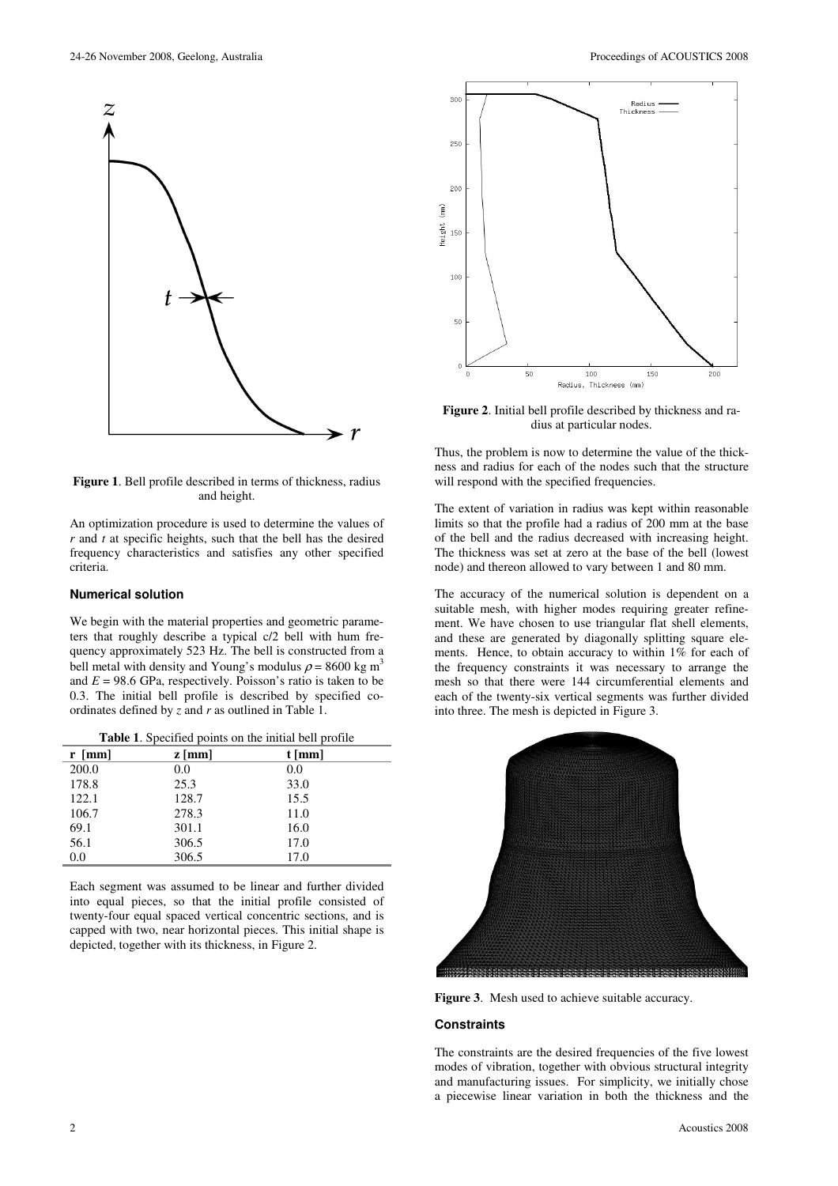

**Figure 1**. Bell profile described in terms of thickness, radius and height.

An optimization procedure is used to determine the values of *r* and *t* at specific heights, such that the bell has the desired frequency characteristics and satisfies any other specified criteria.

#### **Numerical solution**

We begin with the material properties and geometric parameters that roughly describe a typical c/2 bell with hum frequency approximately 523 Hz. The bell is constructed from a bell metal with density and Young's modulus  $\rho = 8600 \text{ kg m}^3$ and  $E = 98.6$  GPa, respectively. Poisson's ratio is taken to be 0.3. The initial bell profile is described by specified coordinates defined by *z* and *r* as outlined in Table 1.

| $r$ [mm] | $z \, \text{[mm]}$ | $t$ [mm] |
|----------|--------------------|----------|
| 200.0    | 0.0                | 0.0      |
| 178.8    | 25.3               | 33.0     |
| 122.1    | 128.7              | 15.5     |
| 106.7    | 278.3              | 11.0     |
| 69.1     | 301.1              | 16.0     |
| 56.1     | 306.5              | 17.0     |
| 0.0      | 306.5              | 17.0     |

|  |  |  |  | Table 1. Specified points on the initial bell profile |  |
|--|--|--|--|-------------------------------------------------------|--|
|--|--|--|--|-------------------------------------------------------|--|

Each segment was assumed to be linear and further divided into equal pieces, so that the initial profile consisted of twenty-four equal spaced vertical concentric sections, and is capped with two, near horizontal pieces. This initial shape is depicted, together with its thickness, in Figure 2.



**Figure 2**. Initial bell profile described by thickness and radius at particular nodes.

Thus, the problem is now to determine the value of the thickness and radius for each of the nodes such that the structure will respond with the specified frequencies.

The extent of variation in radius was kept within reasonable limits so that the profile had a radius of 200 mm at the base of the bell and the radius decreased with increasing height. The thickness was set at zero at the base of the bell (lowest node) and thereon allowed to vary between 1 and 80 mm.

The accuracy of the numerical solution is dependent on a suitable mesh, with higher modes requiring greater refinement. We have chosen to use triangular flat shell elements, and these are generated by diagonally splitting square elements. Hence, to obtain accuracy to within 1% for each of the frequency constraints it was necessary to arrange the mesh so that there were 144 circumferential elements and each of the twenty-six vertical segments was further divided into three. The mesh is depicted in Figure 3.



**Figure 3**. Mesh used to achieve suitable accuracy.

#### **Constraints**

The constraints are the desired frequencies of the five lowest modes of vibration, together with obvious structural integrity and manufacturing issues. For simplicity, we initially chose a piecewise linear variation in both the thickness and the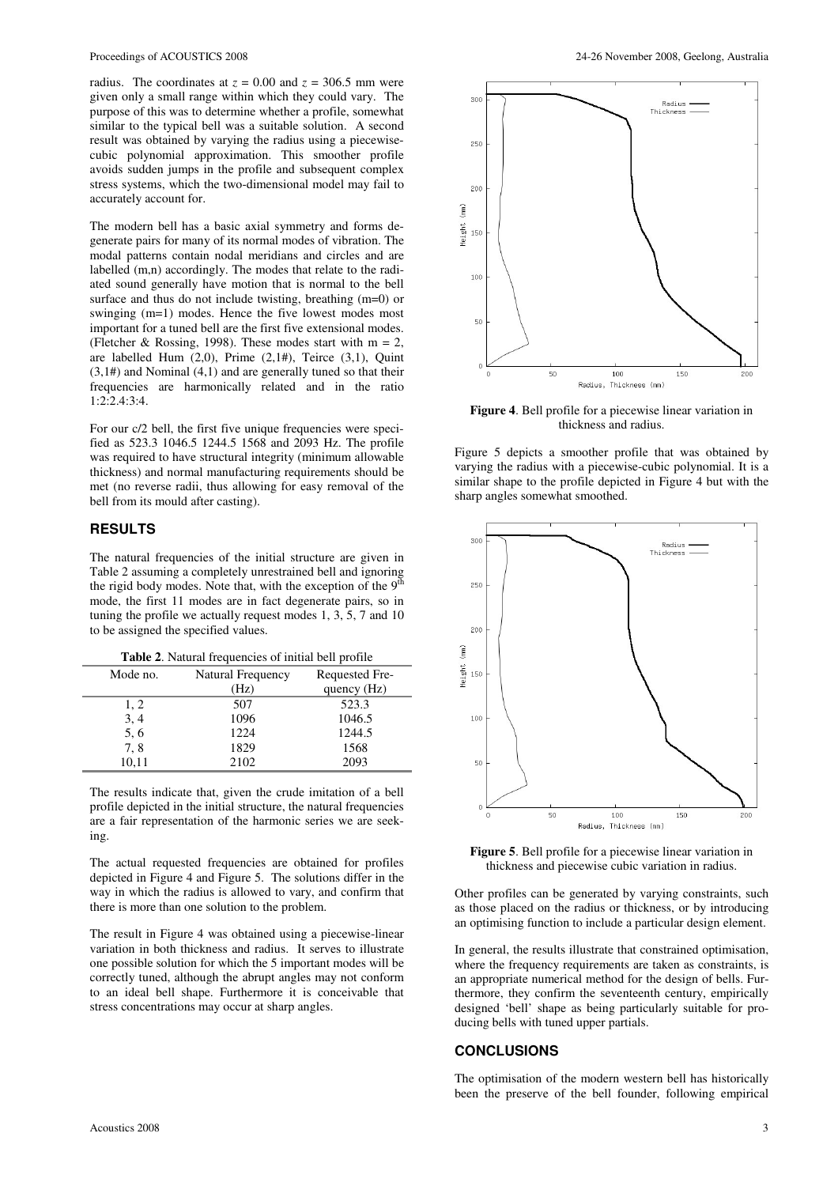radius. The coordinates at  $z = 0.00$  and  $z = 306.5$  mm were given only a small range within which they could vary. The purpose of this was to determine whether a profile, somewhat similar to the typical bell was a suitable solution. A second result was obtained by varying the radius using a piecewisecubic polynomial approximation. This smoother profile avoids sudden jumps in the profile and subsequent complex stress systems, which the two-dimensional model may fail to accurately account for.

The modern bell has a basic axial symmetry and forms degenerate pairs for many of its normal modes of vibration. The modal patterns contain nodal meridians and circles and are labelled (m,n) accordingly. The modes that relate to the radiated sound generally have motion that is normal to the bell surface and thus do not include twisting, breathing (m=0) or swinging (m=1) modes. Hence the five lowest modes most important for a tuned bell are the first five extensional modes. (Fletcher & Rossing, 1998). These modes start with  $m = 2$ , are labelled Hum  $(2,0)$ , Prime  $(2,1#)$ , Teirce  $(3,1)$ , Quint  $(3,1)$  and Nominal  $(4,1)$  and are generally tuned so that their frequencies are harmonically related and in the ratio 1:2:2.4:3:4.

For our c/2 bell, the first five unique frequencies were specified as 523.3 1046.5 1244.5 1568 and 2093 Hz. The profile was required to have structural integrity (minimum allowable thickness) and normal manufacturing requirements should be met (no reverse radii, thus allowing for easy removal of the bell from its mould after casting).

### **RESULTS**

The natural frequencies of the initial structure are given in Table 2 assuming a completely unrestrained bell and ignoring the rigid body modes. Note that, with the exception of the  $9<sup>th</sup>$ mode, the first 11 modes are in fact degenerate pairs, so in tuning the profile we actually request modes 1, 3, 5, 7 and 10 to be assigned the specified values.

| <b>Table 2.</b> Natural frequencies of initial bell profile |                   |                |  |  |  |
|-------------------------------------------------------------|-------------------|----------------|--|--|--|
| Mode no.                                                    | Natural Frequency | Requested Fre- |  |  |  |
|                                                             | (Hz)              | quency $(Hz)$  |  |  |  |
| 1, 2                                                        | 507               | 523.3          |  |  |  |
| 3, 4                                                        | 1096              | 1046.5         |  |  |  |
| 5, 6                                                        | 1224              | 1244.5         |  |  |  |
| 7.8                                                         | 1829              | 1568           |  |  |  |
| 10,11                                                       | 2102              | 2093           |  |  |  |

The results indicate that, given the crude imitation of a bell profile depicted in the initial structure, the natural frequencies are a fair representation of the harmonic series we are seeking.

The actual requested frequencies are obtained for profiles depicted in Figure 4 and Figure 5. The solutions differ in the way in which the radius is allowed to vary, and confirm that there is more than one solution to the problem.

The result in Figure 4 was obtained using a piecewise-linear variation in both thickness and radius. It serves to illustrate one possible solution for which the 5 important modes will be correctly tuned, although the abrupt angles may not conform to an ideal bell shape. Furthermore it is conceivable that stress concentrations may occur at sharp angles.



**Figure 4**. Bell profile for a piecewise linear variation in thickness and radius.

Figure 5 depicts a smoother profile that was obtained by varying the radius with a piecewise-cubic polynomial. It is a similar shape to the profile depicted in Figure 4 but with the sharp angles somewhat smoothed.



**Figure 5**. Bell profile for a piecewise linear variation in thickness and piecewise cubic variation in radius.

Other profiles can be generated by varying constraints, such as those placed on the radius or thickness, or by introducing an optimising function to include a particular design element.

In general, the results illustrate that constrained optimisation, where the frequency requirements are taken as constraints, is an appropriate numerical method for the design of bells. Furthermore, they confirm the seventeenth century, empirically designed 'bell' shape as being particularly suitable for producing bells with tuned upper partials.

#### **CONCLUSIONS**

The optimisation of the modern western bell has historically been the preserve of the bell founder, following empirical